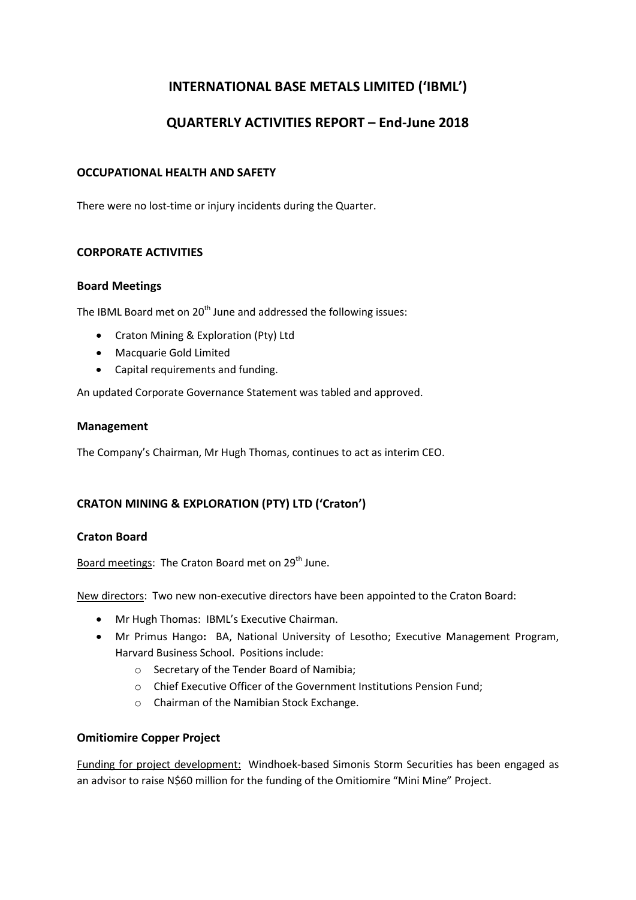# INTERNATIONAL BASE METALS LIMITED ('IBML')

# QUARTERLY ACTIVITIES REPORT – End-June 2018

## OCCUPATIONAL HEALTH AND SAFETY

There were no lost-time or injury incidents during the Quarter.

## CORPORATE ACTIVITIES

#### Board Meetings

The IBML Board met on 20<sup>th</sup> June and addressed the following issues:

- Craton Mining & Exploration (Pty) Ltd
- Macquarie Gold Limited
- Capital requirements and funding.

An updated Corporate Governance Statement was tabled and approved.

#### Management

The Company's Chairman, Mr Hugh Thomas, continues to act as interim CEO.

# CRATON MINING & EXPLORATION (PTY) LTD ('Craton')

### Craton Board

Board meetings: The Craton Board met on 29<sup>th</sup> June.

New directors: Two new non-executive directors have been appointed to the Craton Board:

- Mr Hugh Thomas: IBML's Executive Chairman.
- Mr Primus Hango: BA, National University of Lesotho; Executive Management Program, Harvard Business School. Positions include:
	- o Secretary of the Tender Board of Namibia;
	- o Chief Executive Officer of the Government Institutions Pension Fund;
	- o Chairman of the Namibian Stock Exchange.

### Omitiomire Copper Project

Funding for project development: Windhoek-based Simonis Storm Securities has been engaged as an advisor to raise N\$60 million for the funding of the Omitiomire "Mini Mine" Project.